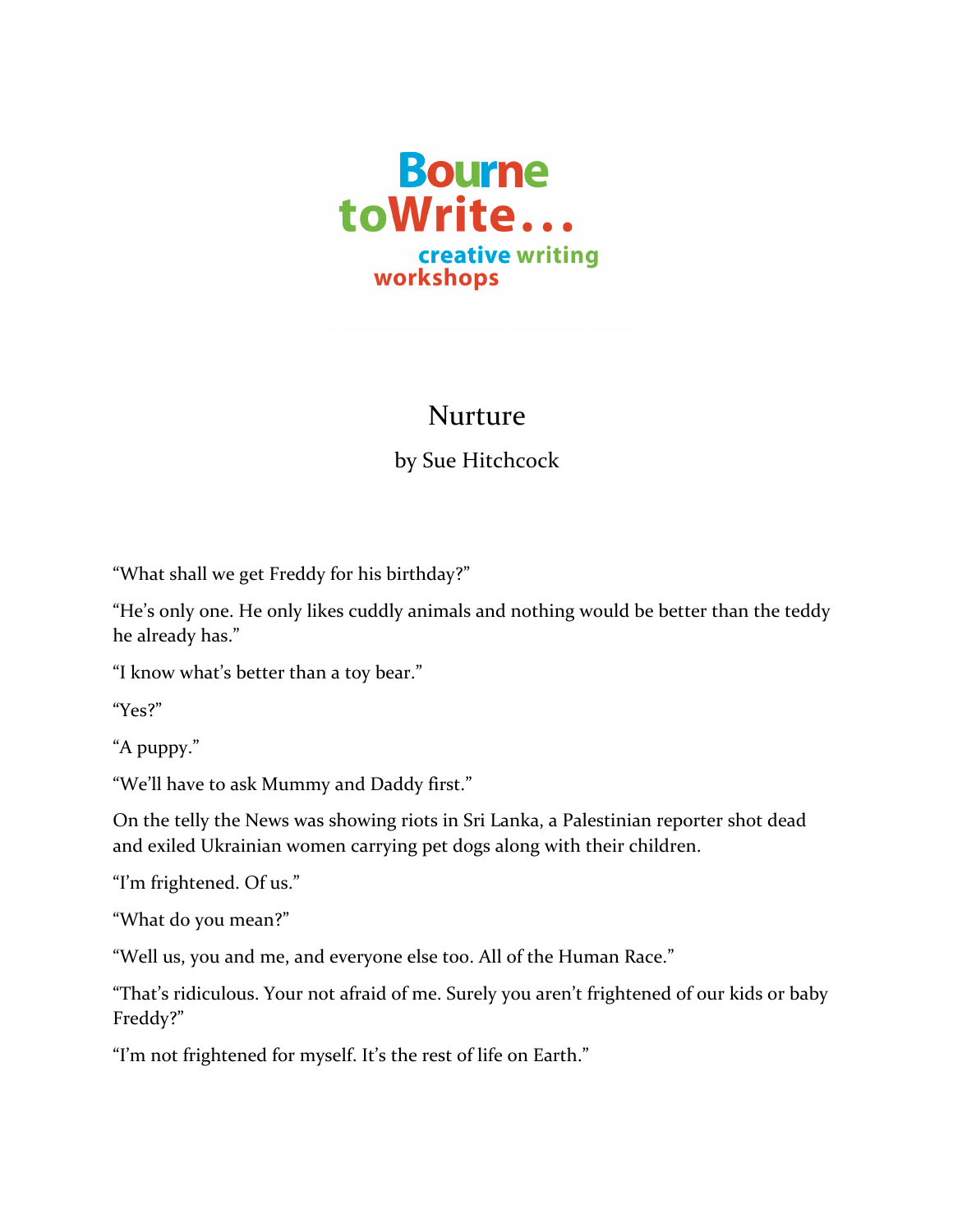

## Nurture

## by Sue Hitchcock

"What shall we get Freddy for his birthday?"

"He's only one. He only likes cuddly animals and nothing would be better than the teddy he already has."

"I know what's better than a toy bear."

"Yes?"

"A puppy."

"We'll have to ask Mummy and Daddy first."

On the telly the News was showing riots in Sri Lanka, a Palestinian reporter shot dead and exiled Ukrainian women carrying pet dogs along with their children.

"I'm frightened. Of us."

"What do you mean?"

"Well us, you and me, and everyone else too. All of the Human Race."

"That's ridiculous. Your not afraid of me. Surely you aren't frightened of our kids or baby Freddy?"

"I'm not frightened for myself. It's the rest of life on Earth."